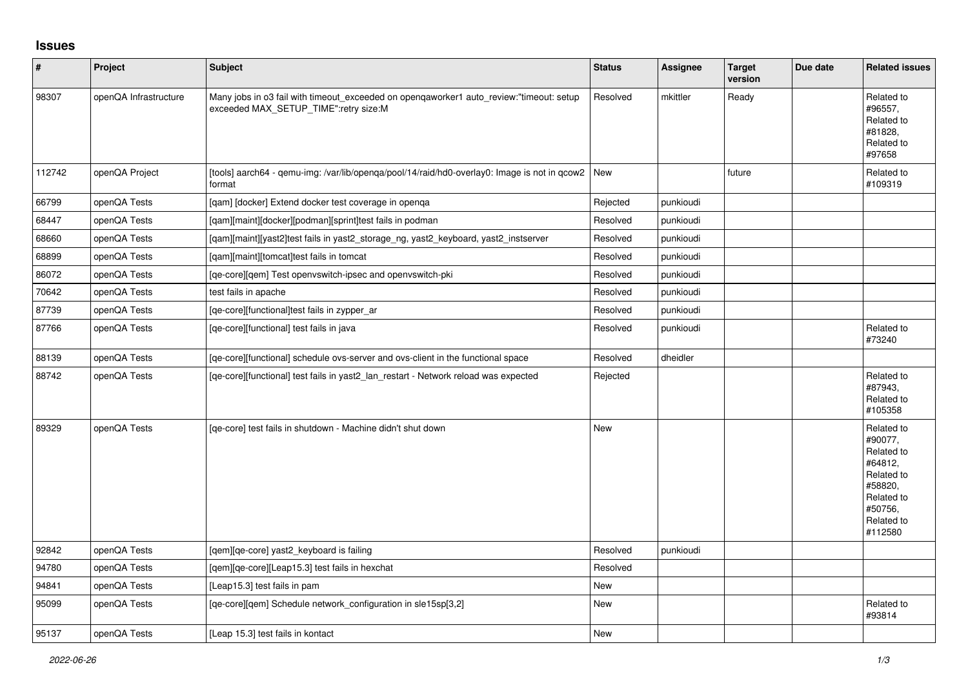## **Issues**

| $\vert$ # | Project               | <b>Subject</b>                                                                                                                   | <b>Status</b> | Assignee  | <b>Target</b><br>version | Due date | <b>Related issues</b>                                                                                                     |
|-----------|-----------------------|----------------------------------------------------------------------------------------------------------------------------------|---------------|-----------|--------------------------|----------|---------------------------------------------------------------------------------------------------------------------------|
| 98307     | openQA Infrastructure | Many jobs in o3 fail with timeout_exceeded on openqaworker1 auto_review:"timeout: setup<br>exceeded MAX_SETUP_TIME":retry size:M | Resolved      | mkittler  | Ready                    |          | Related to<br>#96557,<br>Related to<br>#81828,<br>Related to<br>#97658                                                    |
| 112742    | openQA Project        | [tools] aarch64 - gemu-img: /var/lib/openga/pool/14/raid/hd0-overlay0: Image is not in gcow2   New<br>format                     |               |           | future                   |          | Related to<br>#109319                                                                                                     |
| 66799     | openQA Tests          | [gam] [docker] Extend docker test coverage in openga                                                                             | Rejected      | punkioudi |                          |          |                                                                                                                           |
| 68447     | openQA Tests          | [qam][maint][docker][podman][sprint]test fails in podman                                                                         | Resolved      | punkioudi |                          |          |                                                                                                                           |
| 68660     | openQA Tests          | [qam][maint][yast2]test fails in yast2_storage_ng, yast2_keyboard, yast2_instserver                                              | Resolved      | punkioudi |                          |          |                                                                                                                           |
| 68899     | openQA Tests          | [gam][maint][tomcat]test fails in tomcat                                                                                         | Resolved      | punkioudi |                          |          |                                                                                                                           |
| 86072     | openQA Tests          | [qe-core][qem] Test openvswitch-ipsec and openvswitch-pki                                                                        | Resolved      | punkioudi |                          |          |                                                                                                                           |
| 70642     | openQA Tests          | test fails in apache                                                                                                             | Resolved      | punkioudi |                          |          |                                                                                                                           |
| 87739     | openQA Tests          | [qe-core][functional]test fails in zypper ar                                                                                     | Resolved      | punkioudi |                          |          |                                                                                                                           |
| 87766     | openQA Tests          | [ge-core][functional] test fails in java                                                                                         | Resolved      | punkioudi |                          |          | Related to<br>#73240                                                                                                      |
| 88139     | openQA Tests          | [qe-core][functional] schedule ovs-server and ovs-client in the functional space                                                 | Resolved      | dheidler  |                          |          |                                                                                                                           |
| 88742     | openQA Tests          | [ge-core][functional] test fails in yast2 lan restart - Network reload was expected                                              | Rejected      |           |                          |          | Related to<br>#87943,<br>Related to<br>#105358                                                                            |
| 89329     | openQA Tests          | [ge-core] test fails in shutdown - Machine didn't shut down                                                                      | <b>New</b>    |           |                          |          | Related to<br>#90077,<br>Related to<br>#64812,<br>Related to<br>#58820,<br>Related to<br>#50756,<br>Related to<br>#112580 |
| 92842     | openQA Tests          | [qem][qe-core] yast2_keyboard is failing                                                                                         | Resolved      | punkioudi |                          |          |                                                                                                                           |
| 94780     | openQA Tests          | [qem][qe-core][Leap15.3] test fails in hexchat                                                                                   | Resolved      |           |                          |          |                                                                                                                           |
| 94841     | openQA Tests          | [Leap15.3] test fails in pam                                                                                                     | <b>New</b>    |           |                          |          |                                                                                                                           |
| 95099     | openQA Tests          | [qe-core][qem] Schedule network_configuration in sle15sp[3,2]                                                                    | <b>New</b>    |           |                          |          | Related to<br>#93814                                                                                                      |
| 95137     | openQA Tests          | [Leap 15.3] test fails in kontact                                                                                                | <b>New</b>    |           |                          |          |                                                                                                                           |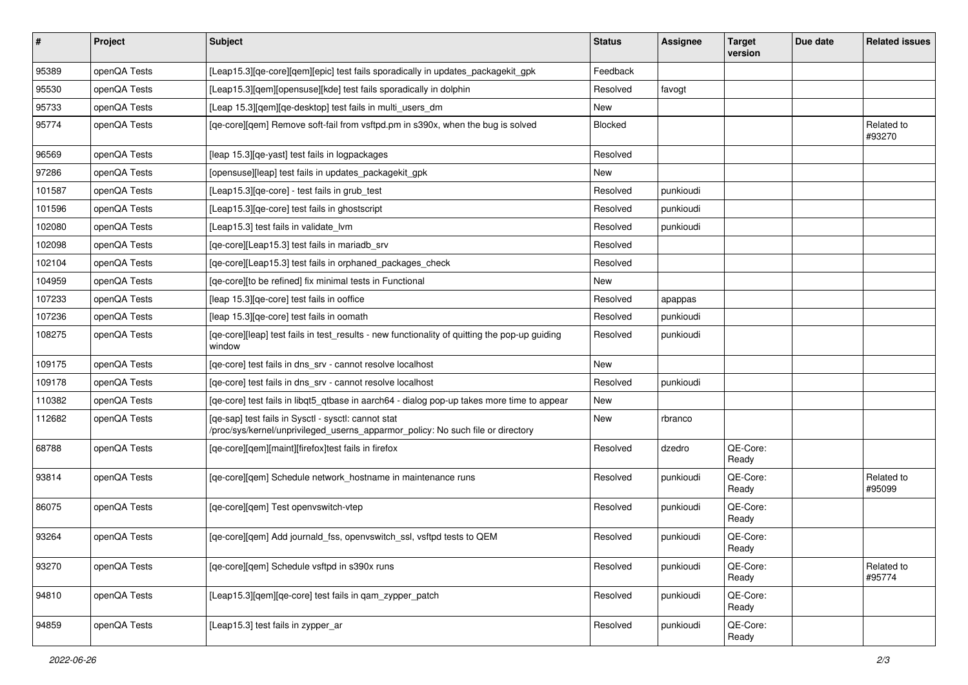| $\sharp$ | <b>Project</b> | Subject                                                                                                                                | <b>Status</b> | <b>Assignee</b> | <b>Target</b><br>version | Due date | <b>Related issues</b> |
|----------|----------------|----------------------------------------------------------------------------------------------------------------------------------------|---------------|-----------------|--------------------------|----------|-----------------------|
| 95389    | openQA Tests   | [Leap15.3][qe-core][qem][epic] test fails sporadically in updates_packagekit_gpk                                                       | Feedback      |                 |                          |          |                       |
| 95530    | openQA Tests   | [Leap15.3][qem][opensuse][kde] test fails sporadically in dolphin                                                                      | Resolved      | favogt          |                          |          |                       |
| 95733    | openQA Tests   | [Leap 15.3][qem][qe-desktop] test fails in multi_users_dm                                                                              | New           |                 |                          |          |                       |
| 95774    | openQA Tests   | [qe-core][qem] Remove soft-fail from vsftpd.pm in s390x, when the bug is solved                                                        | Blocked       |                 |                          |          | Related to<br>#93270  |
| 96569    | openQA Tests   | [leap 15.3][qe-yast] test fails in logpackages                                                                                         | Resolved      |                 |                          |          |                       |
| 97286    | openQA Tests   | [opensuse][leap] test fails in updates packagekit gpk                                                                                  | New           |                 |                          |          |                       |
| 101587   | openQA Tests   | [Leap15.3][qe-core] - test fails in grub_test                                                                                          | Resolved      | punkioudi       |                          |          |                       |
| 101596   | openQA Tests   | [Leap15.3] [qe-core] test fails in ghostscript                                                                                         | Resolved      | punkioudi       |                          |          |                       |
| 102080   | openQA Tests   | [Leap15.3] test fails in validate lvm                                                                                                  | Resolved      | punkioudi       |                          |          |                       |
| 102098   | openQA Tests   | [qe-core][Leap15.3] test fails in mariadb srv                                                                                          | Resolved      |                 |                          |          |                       |
| 102104   | openQA Tests   | [qe-core][Leap15.3] test fails in orphaned_packages_check                                                                              | Resolved      |                 |                          |          |                       |
| 104959   | openQA Tests   | [qe-core][to be refined] fix minimal tests in Functional                                                                               | New           |                 |                          |          |                       |
| 107233   | openQA Tests   | [leap 15.3] [qe-core] test fails in ooffice                                                                                            | Resolved      | apappas         |                          |          |                       |
| 107236   | openQA Tests   | [leap 15.3] [qe-core] test fails in oomath                                                                                             | Resolved      | punkioudi       |                          |          |                       |
| 108275   | openQA Tests   | [qe-core][leap] test fails in test_results - new functionality of quitting the pop-up guiding<br>window                                | Resolved      | punkioudi       |                          |          |                       |
| 109175   | openQA Tests   | [ge-core] test fails in dns srv - cannot resolve localhost                                                                             | New           |                 |                          |          |                       |
| 109178   | openQA Tests   | [qe-core] test fails in dns_srv - cannot resolve localhost                                                                             | Resolved      | punkioudi       |                          |          |                       |
| 110382   | openQA Tests   | [qe-core] test fails in libqt5_qtbase in aarch64 - dialog pop-up takes more time to appear                                             | New           |                 |                          |          |                       |
| 112682   | openQA Tests   | [qe-sap] test fails in Sysctl - sysctl: cannot stat<br>/proc/sys/kernel/unprivileged_userns_apparmor_policy: No such file or directory | <b>New</b>    | rbranco         |                          |          |                       |
| 68788    | openQA Tests   | [qe-core][qem][maint][firefox]test fails in firefox                                                                                    | Resolved      | dzedro          | QE-Core:<br>Ready        |          |                       |
| 93814    | openQA Tests   | [qe-core][qem] Schedule network_hostname in maintenance runs                                                                           | Resolved      | punkioudi       | QE-Core:<br>Ready        |          | Related to<br>#95099  |
| 86075    | openQA Tests   | [qe-core][qem] Test openvswitch-vtep                                                                                                   | Resolved      | punkioudi       | QE-Core:<br>Ready        |          |                       |
| 93264    | openQA Tests   | [qe-core][qem] Add journald_fss, openvswitch_ssl, vsftpd tests to QEM                                                                  | Resolved      | punkioudi       | QE-Core:<br>Ready        |          |                       |
| 93270    | openQA Tests   | [qe-core][qem] Schedule vsftpd in s390x runs                                                                                           | Resolved      | punkioudi       | QE-Core:<br>Ready        |          | Related to<br>#95774  |
| 94810    | openQA Tests   | [Leap15.3][gem][ge-core] test fails in gam zypper patch                                                                                | Resolved      | punkioudi       | QE-Core:<br>Ready        |          |                       |
| 94859    | openQA Tests   | [Leap15.3] test fails in zypper_ar                                                                                                     | Resolved      | punkioudi       | QE-Core:<br>Ready        |          |                       |